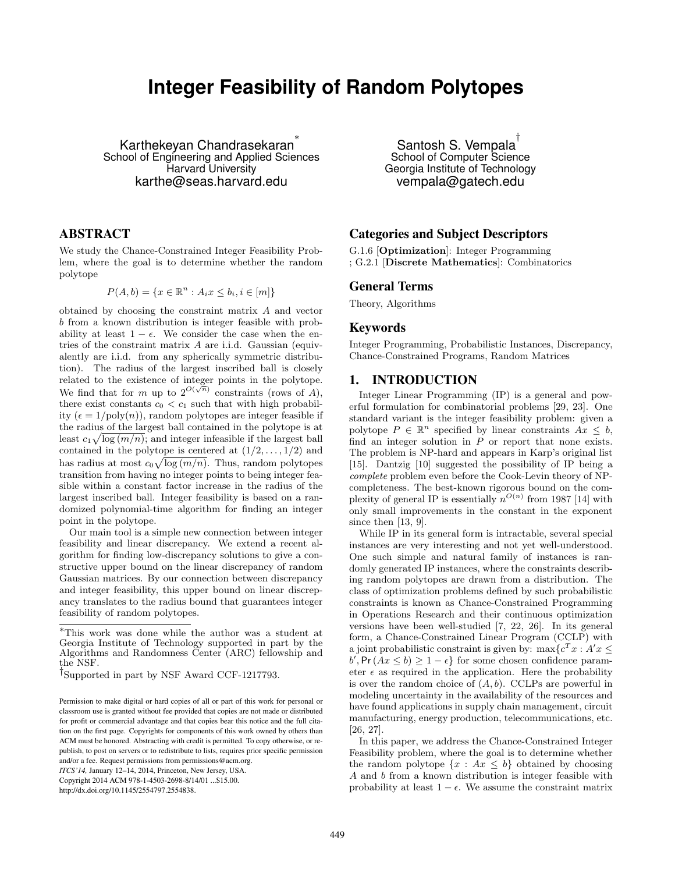# **Integer Feasibility of Random Polytopes**

Karthekeyan Chandrasekaran ∗ School of Engineering and Applied Sciences Harvard University karthe@seas.harvard.edu

### ABSTRACT

We study the Chance-Constrained Integer Feasibility Problem, where the goal is to determine whether the random polytope

$$
P(A,b) = \{x \in \mathbb{R}^n : A_i x \le b_i, i \in [m]\}
$$

obtained by choosing the constraint matrix A and vector b from a known distribution is integer feasible with probability at least  $1 - \epsilon$ . We consider the case when the entries of the constraint matrix A are i.i.d. Gaussian (equivalently are i.i.d. from any spherically symmetric distribution). The radius of the largest inscribed ball is closely related to the existence of integer points in the polytope. We find that for m up to  $2^{O(\sqrt{n})}$  constraints (rows of A), there exist constants  $c_0 < c_1$  such that with high probability  $(\epsilon = 1/\text{poly}(n))$ , random polytopes are integer feasible if the radius of the largest ball contained in the polytope is at least  $c_1\sqrt{\log(m/n)}$ ; and integer infeasible if the largest ball contained in the polytope is centered at  $(1/2, \ldots, 1/2)$  and has radius at most  $c_0\sqrt{\log{(m/n)}}$ . Thus, random polytopes transition from having no integer points to being integer feasible within a constant factor increase in the radius of the largest inscribed ball. Integer feasibility is based on a randomized polynomial-time algorithm for finding an integer point in the polytope.

Our main tool is a simple new connection between integer feasibility and linear discrepancy. We extend a recent algorithm for finding low-discrepancy solutions to give a constructive upper bound on the linear discrepancy of random Gaussian matrices. By our connection between discrepancy and integer feasibility, this upper bound on linear discrepancy translates to the radius bound that guarantees integer feasibility of random polytopes.

*ITCS'14,* January 12–14, 2014, Princeton, New Jersey, USA. Copyright 2014 ACM 978-1-4503-2698-8/14/01 ...\$15.00.

http://dx.doi.org/10.1145/2554797.2554838.

Santosh S. Vempala $^\dagger$ School of Computer Science Georgia Institute of Technology vempala@gatech.edu

## Categories and Subject Descriptors

G.1.6 [Optimization]: Integer Programming ; G.2.1 [Discrete Mathematics]: Combinatorics

# General Terms

Theory, Algorithms

#### Keywords

Integer Programming, Probabilistic Instances, Discrepancy, Chance-Constrained Programs, Random Matrices

## 1. INTRODUCTION

Integer Linear Programming (IP) is a general and powerful formulation for combinatorial problems [29, 23]. One standard variant is the integer feasibility problem: given a polytope  $P \in \mathbb{R}^n$  specified by linear constraints  $Ax \leq b$ , find an integer solution in  $P$  or report that none exists. The problem is NP-hard and appears in Karp's original list [15]. Dantzig [10] suggested the possibility of IP being a complete problem even before the Cook-Levin theory of NPcompleteness. The best-known rigorous bound on the complexity of general IP is essentially  $n^{O(n)}$  from 1987 [14] with only small improvements in the constant in the exponent since then [13, 9].

While IP in its general form is intractable, several special instances are very interesting and not yet well-understood. One such simple and natural family of instances is randomly generated IP instances, where the constraints describing random polytopes are drawn from a distribution. The class of optimization problems defined by such probabilistic constraints is known as Chance-Constrained Programming in Operations Research and their continuous optimization versions have been well-studied [7, 22, 26]. In its general form, a Chance-Constrained Linear Program (CCLP) with a joint probabilistic constraint is given by:  $\max\{c^T x : A'x \leq$  $b'$ , Pr( $Ax \le b$ )  $\ge 1 - \epsilon$ } for some chosen confidence parameter  $\epsilon$  as required in the application. Here the probability is over the random choice of  $(A, b)$ . CCLPs are powerful in modeling uncertainty in the availability of the resources and have found applications in supply chain management, circuit manufacturing, energy production, telecommunications, etc. [26, 27].

In this paper, we address the Chance-Constrained Integer Feasibility problem, where the goal is to determine whether the random polytope  $\{x : Ax \leq b\}$  obtained by choosing A and b from a known distribution is integer feasible with probability at least  $1 - \epsilon$ . We assume the constraint matrix

<sup>∗</sup>This work was done while the author was a student at Georgia Institute of Technology supported in part by the Algorithms and Randomness Center (ARC) fellowship and the NSF.

<sup>†&</sup>lt;br>
Supported in part by NSF Award CCF-1217793.

Permission to make digital or hard copies of all or part of this work for personal or classroom use is granted without fee provided that copies are not made or distributed for profit or commercial advantage and that copies bear this notice and the full citation on the first page. Copyrights for components of this work owned by others than ACM must be honored. Abstracting with credit is permitted. To copy otherwise, or republish, to post on servers or to redistribute to lists, requires prior specific permission and/or a fee. Request permissions from permissions@acm.org.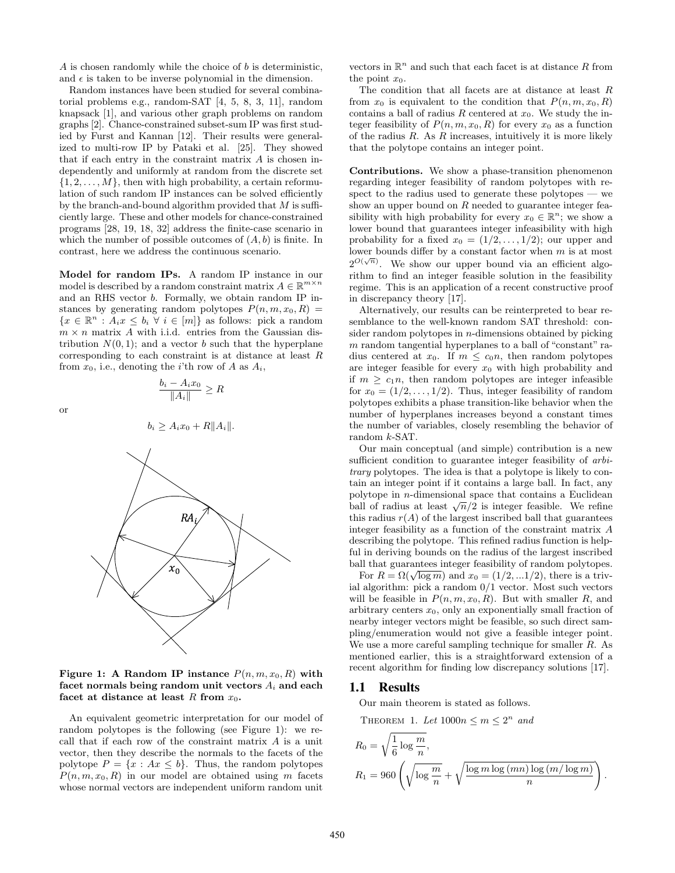A is chosen randomly while the choice of  $b$  is deterministic, and  $\epsilon$  is taken to be inverse polynomial in the dimension.

Random instances have been studied for several combinatorial problems e.g., random-SAT [4, 5, 8, 3, 11], random knapsack [1], and various other graph problems on random graphs [2]. Chance-constrained subset-sum IP was first studied by Furst and Kannan [12]. Their results were generalized to multi-row IP by Pataki et al. [25]. They showed that if each entry in the constraint matrix  $A$  is chosen independently and uniformly at random from the discrete set  $\{1, 2, \ldots, M\}$ , then with high probability, a certain reformulation of such random IP instances can be solved efficiently by the branch-and-bound algorithm provided that  $M$  is sufficiently large. These and other models for chance-constrained programs [28, 19, 18, 32] address the finite-case scenario in which the number of possible outcomes of  $(A, b)$  is finite. In contrast, here we address the continuous scenario.

Model for random IPs. A random IP instance in our model is described by a random constraint matrix  $A \in \mathbb{R}^{m \times n}$ and an RHS vector b. Formally, we obtain random IP instances by generating random polytopes  $P(n, m, x_0, R)$  ${x \in \mathbb{R}^n : A_i x \leq b_i \,\forall \,i \in [m]}$  as follows: pick a random  $m \times n$  matrix A with i.i.d. entries from the Gaussian distribution  $N(0, 1)$ ; and a vector b such that the hyperplane corresponding to each constraint is at distance at least R from  $x_0$ , i.e., denoting the *i*'th row of A as  $A_i$ ,

or

$$
b_i \ge A_i x_0 + R ||A_i||.
$$

 $b_i - A_i x_0$  $\frac{A_i}{\|A_i\|} \geq R$ 



Figure 1: A Random IP instance  $P(n, m, x_0, R)$  with facet normals being random unit vectors  $A_i$  and each facet at distance at least R from  $x_0$ .

An equivalent geometric interpretation for our model of random polytopes is the following (see Figure 1): we recall that if each row of the constraint matrix A is a unit vector, then they describe the normals to the facets of the polytope  $P = \{x : Ax \leq b\}$ . Thus, the random polytopes  $P(n, m, x_0, R)$  in our model are obtained using m facets whose normal vectors are independent uniform random unit

vectors in  $\mathbb{R}^n$  and such that each facet is at distance R from the point  $x_0$ .

The condition that all facets are at distance at least R from  $x_0$  is equivalent to the condition that  $P(n, m, x_0, R)$ contains a ball of radius R centered at  $x_0$ . We study the integer feasibility of  $P(n, m, x_0, R)$  for every  $x_0$  as a function of the radius  $R$ . As  $R$  increases, intuitively it is more likely that the polytope contains an integer point.

Contributions. We show a phase-transition phenomenon regarding integer feasibility of random polytopes with respect to the radius used to generate these polytopes — we show an upper bound on  $R$  needed to guarantee integer feasibility with high probability for every  $x_0 \in \mathbb{R}^n$ ; we show a lower bound that guarantees integer infeasibility with high probability for a fixed  $x_0 = (1/2, \ldots, 1/2)$ ; our upper and lower bounds differ by a constant factor when m is at most  $2^{O(\sqrt{n})}$ . We show our upper bound via an efficient algorithm to find an integer feasible solution in the feasibility regime. This is an application of a recent constructive proof in discrepancy theory [17].

Alternatively, our results can be reinterpreted to bear resemblance to the well-known random SAT threshold: consider random polytopes in  $n$ -dimensions obtained by picking  $m$  random tangential hyperplanes to a ball of "constant" radius centered at  $x_0$ . If  $m \leq c_0 n$ , then random polytopes are integer feasible for every  $x_0$  with high probability and if  $m \geq c_1 n$ , then random polytopes are integer infeasible for  $x_0 = (1/2, \ldots, 1/2)$ . Thus, integer feasibility of random polytopes exhibits a phase transition-like behavior when the number of hyperplanes increases beyond a constant times the number of variables, closely resembling the behavior of random k-SAT.

Our main conceptual (and simple) contribution is a new sufficient condition to guarantee integer feasibility of *arbi*trary polytopes. The idea is that a polytope is likely to contain an integer point if it contains a large ball. In fact, any polytope in n-dimensional space that contains a Euclidean polytope in *n*-dimensional space that contains a Euclidean<br>ball of radius at least  $\sqrt{n}/2$  is integer feasible. We refine this radius  $r(A)$  of the largest inscribed ball that guarantees integer feasibility as a function of the constraint matrix A describing the polytope. This refined radius function is helpful in deriving bounds on the radius of the largest inscribed ball that guarantees integer feasibility of random polytopes.

In that guarantees integer reasonity of random polytopes.<br>For  $R = \Omega(\sqrt{\log m})$  and  $x_0 = (1/2, ...1/2)$ , there is a trivial algorithm: pick a random 0/1 vector. Most such vectors will be feasible in  $P(n, m, x_0, R)$ . But with smaller R, and arbitrary centers  $x_0$ , only an exponentially small fraction of nearby integer vectors might be feasible, so such direct sampling/enumeration would not give a feasible integer point. We use a more careful sampling technique for smaller R. As mentioned earlier, this is a straightforward extension of a recent algorithm for finding low discrepancy solutions [17].

#### 1.1 Results

Our main theorem is stated as follows.

THEOREM 1. Let 
$$
1000n \le m \le 2^n
$$
 and

$$
R_0 = \sqrt{\frac{1}{6} \log \frac{m}{n}},
$$
  
\n
$$
R_1 = 960 \left( \sqrt{\log \frac{m}{n}} + \sqrt{\frac{\log m \log (mn) \log (m/\log m)}{n}} \right).
$$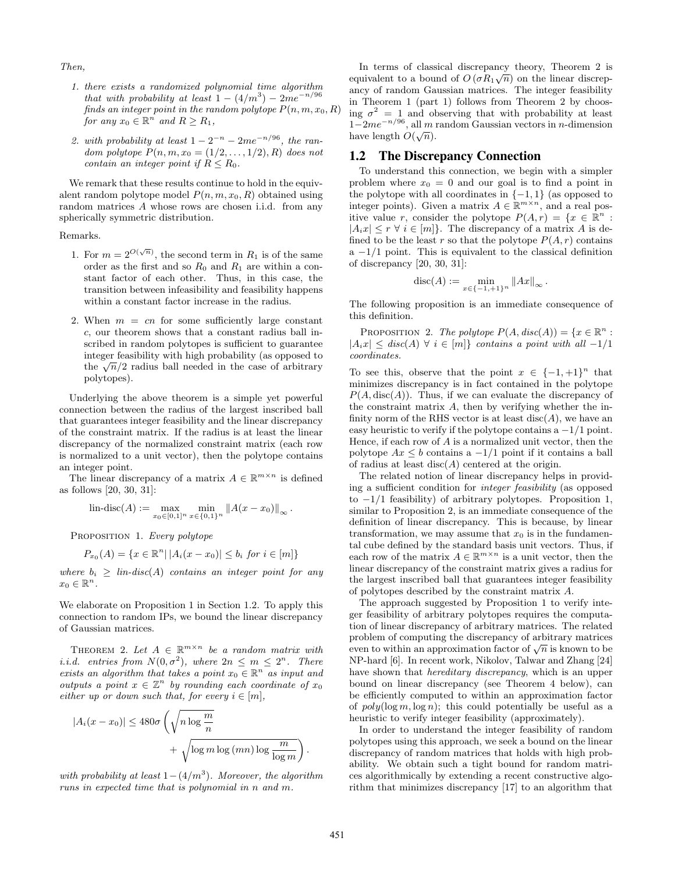Then,

- 1. there exists a randomized polynomial time algorithm that with probability at least  $1 - (4/m^3) - 2me^{-n/96}$ finds an integer point in the random polytope  $P(n, m, x_0, R)$ for any  $x_0 \in \mathbb{R}^n$  and  $R \ge R_1$ ,
- 2. with probability at least  $1 2^{-n} 2me^{-n/96}$ , the random polytope  $P(n, m, x_0 = (1/2, ..., 1/2), R)$  does not contain an integer point if  $R \leq R_0$ .

We remark that these results continue to hold in the equivalent random polytope model  $P(n, m, x_0, R)$  obtained using random matrices A whose rows are chosen i.i.d. from any spherically symmetric distribution.

Remarks.

- 1. For  $m = 2^{O(\sqrt{n})}$ , the second term in  $R_1$  is of the same order as the first and so  $R_0$  and  $R_1$  are within a constant factor of each other. Thus, in this case, the transition between infeasibility and feasibility happens within a constant factor increase in the radius.
- 2. When  $m = cn$  for some sufficiently large constant c, our theorem shows that a constant radius ball inscribed in random polytopes is sufficient to guarantee integer feasibility with high probability (as opposed to the  $\sqrt{n}/2$  radius ball needed in the case of arbitrary polytopes).

Underlying the above theorem is a simple yet powerful connection between the radius of the largest inscribed ball that guarantees integer feasibility and the linear discrepancy of the constraint matrix. If the radius is at least the linear discrepancy of the normalized constraint matrix (each row is normalized to a unit vector), then the polytope contains an integer point.

The linear discrepancy of a matrix  $A \in \mathbb{R}^{m \times n}$  is defined as follows [20, 30, 31]:

$$
\text{lin-disc}(A) := \max_{x_0 \in [0,1]^n} \min_{x \in \{0,1\}^n} \|A(x - x_0)\|_{\infty}.
$$

PROPOSITION 1. Every polytope

$$
P_{x_0}(A) = \{ x \in \mathbb{R}^n \, | \, |A_i(x - x_0)| \le b_i \text{ for } i \in [m] \}
$$

where  $b_i \geq \text{lin-disc}(A)$  contains an integer point for any  $x_0 \in \mathbb{R}^n$ .

We elaborate on Proposition 1 in Section 1.2. To apply this connection to random IPs, we bound the linear discrepancy of Gaussian matrices.

THEOREM 2. Let  $A \in \mathbb{R}^{m \times n}$  be a random matrix with *i.i.d.* entries from  $N(0, \sigma^2)$ , where  $2n \le m \le 2^n$ . There exists an algorithm that takes a point  $x_0 \in \mathbb{R}^n$  as input and outputs a point  $x \in \mathbb{Z}^n$  by rounding each coordinate of  $x_0$ either up or down such that, for every  $i \in [m]$ ,

$$
|A_i(x - x_0)| \le 480\sigma \left(\sqrt{n \log \frac{m}{n}} + \sqrt{\log m \log (mn) \log \frac{m}{\log m}}\right)
$$

with probability at least  $1-(4/m^3)$ . Moreover, the algorithm runs in expected time that is polynomial in n and m.

In terms of classical discrepancy theory, Theorem 2 is √ equivalent to a bound of  $O(\sigma R_1\sqrt{n})$  on the linear discrepancy of random Gaussian matrices. The integer feasibility in Theorem 1 (part 1) follows from Theorem 2 by choosing  $\sigma^2 = 1$  and observing that with probability at least  $1-2me^{-n/96}$ , all m random Gaussian vectors in n-dimension have length  $O(\sqrt{n})$ .

### 1.2 The Discrepancy Connection

To understand this connection, we begin with a simpler problem where  $x_0 = 0$  and our goal is to find a point in the polytope with all coordinates in  $\{-1, 1\}$  (as opposed to integer points). Given a matrix  $A \in \mathbb{R}^{m \times n}$ , and a real positive value r, consider the polytope  $P(A, r) = \{x \in \mathbb{R}^n :$  $|A_ix| \leq r \; \forall \; i \in [m]$ . The discrepancy of a matrix A is defined to be the least r so that the polytope  $P(A, r)$  contains  $a -1/1$  point. This is equivalent to the classical definition of discrepancy [20, 30, 31]:

$$
disc(A) := \min_{x \in \{-1, +1\}^n} \|Ax\|_{\infty}.
$$

The following proposition is an immediate consequence of this definition.

PROPOSITION 2. The polytope  $P(A, disc(A)) = \{x \in \mathbb{R}^n :$  $|A_ix| \leq disc(A) \ \forall \ i \in [m] \}$  contains a point with all -1/1 coordinates.

To see this, observe that the point  $x \in \{-1, +1\}^n$  that minimizes discrepancy is in fact contained in the polytope  $P(A, \text{disc}(A))$ . Thus, if we can evaluate the discrepancy of the constraint matrix A, then by verifying whether the infinity norm of the RHS vector is at least  $disc(A)$ , we have an easy heuristic to verify if the polytope contains a  $-1/1$  point. Hence, if each row of  $A$  is a normalized unit vector, then the polytope  $Ax \leq b$  contains a  $-1/1$  point if it contains a ball of radius at least  $disc(A)$  centered at the origin.

The related notion of linear discrepancy helps in providing a sufficient condition for integer feasibility (as opposed to  $-1/1$  feasibility) of arbitrary polytopes. Proposition 1, similar to Proposition 2, is an immediate consequence of the definition of linear discrepancy. This is because, by linear transformation, we may assume that  $x_0$  is in the fundamental cube defined by the standard basis unit vectors. Thus, if each row of the matrix  $A \in \mathbb{R}^{m \times n}$  is a unit vector, then the linear discrepancy of the constraint matrix gives a radius for the largest inscribed ball that guarantees integer feasibility of polytopes described by the constraint matrix A.

The approach suggested by Proposition 1 to verify integer feasibility of arbitrary polytopes requires the computation of linear discrepancy of arbitrary matrices. The related problem of computing the discrepancy of arbitrary matrices problem of computing the discrepancy of arbitrary matrices<br>even to within an approximation factor of  $\sqrt{n}$  is known to be NP-hard [6]. In recent work, Nikolov, Talwar and Zhang [24] have shown that *hereditary discrepancy*, which is an upper bound on linear discrepancy (see Theorem 4 below), can be efficiently computed to within an approximation factor of  $poly(\log m, \log n)$ ; this could potentially be useful as a heuristic to verify integer feasibility (approximately).

In order to understand the integer feasibility of random polytopes using this approach, we seek a bound on the linear discrepancy of random matrices that holds with high probability. We obtain such a tight bound for random matrices algorithmically by extending a recent constructive algorithm that minimizes discrepancy [17] to an algorithm that

.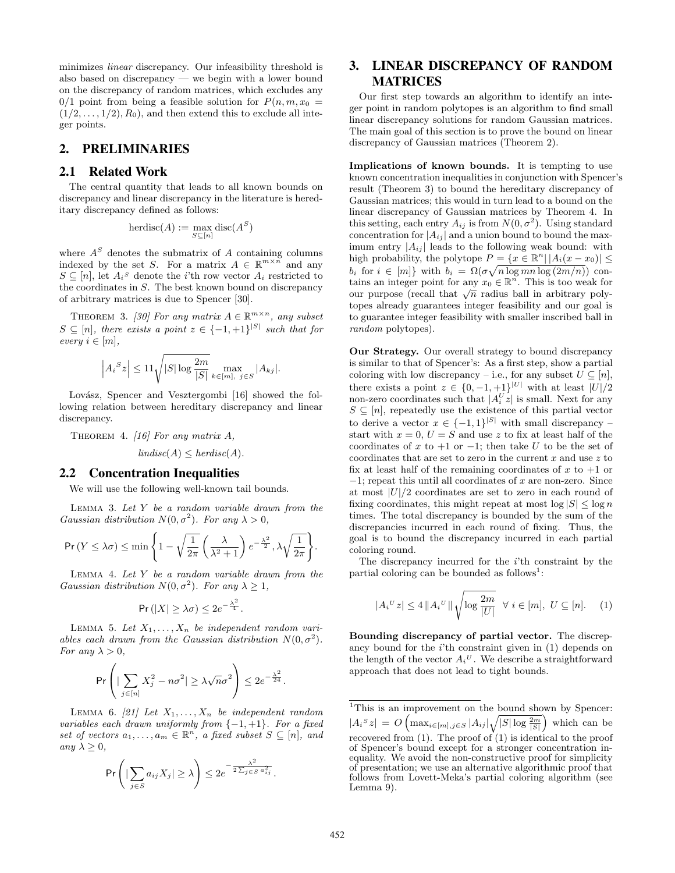minimizes linear discrepancy. Our infeasibility threshold is also based on discrepancy — we begin with a lower bound on the discrepancy of random matrices, which excludes any  $0/1$  point from being a feasible solution for  $P(n, m, x_0)$  $(1/2, \ldots, 1/2), R_0$ , and then extend this to exclude all integer points.

#### 2. PRELIMINARIES

#### 2.1 Related Work

The central quantity that leads to all known bounds on discrepancy and linear discrepancy in the literature is hereditary discrepancy defined as follows:

$$
herdisc(A) := \max_{S \subseteq [n]} \text{disc}(A^S)
$$

where  $A<sup>S</sup>$  denotes the submatrix of A containing columns indexed by the set S. For a matrix  $A \in \mathbb{R}^{m \times n}$  and any  $S \subseteq [n]$ , let  $A_i^s$  denote the *i*'th row vector  $A_i$  restricted to the coordinates in S. The best known bound on discrepancy of arbitrary matrices is due to Spencer [30].

THEOREM 3. [30] For any matrix  $A \in \mathbb{R}^{m \times n}$ , any subset  $S \subseteq [n]$ , there exists a point  $z \in \{-1, +1\}^{|S|}$  such that for every  $i \in [m]$ ,

$$
\left| A_i^S z \right| \le 11 \sqrt{|S| \log \frac{2m}{|S|}} \max_{k \in [m], j \in S} |A_{kj}|.
$$

Lovász, Spencer and Vesztergombi [16] showed the following relation between hereditary discrepancy and linear discrepancy.

THEOREM 4. [16] For any matrix  $A$ ,  $lindisc(A) \leq herdisc(A).$ 

#### 2.2 Concentration Inequalities

We will use the following well-known tail bounds.

LEMMA 3. Let  $Y$  be a random variable drawn from the Gaussian distribution  $N(0, \sigma^2)$ . For any  $\lambda > 0$ ,

$$
\Pr(Y \le \lambda \sigma) \le \min\left\{1 - \sqrt{\frac{1}{2\pi}} \left(\frac{\lambda}{\lambda^2 + 1}\right) e^{-\frac{\lambda^2}{2}}, \lambda \sqrt{\frac{1}{2\pi}}\right\}.
$$

LEMMA 4. Let  $Y$  be a random variable drawn from the Gaussian distribution  $N(0, \sigma^2)$ . For any  $\lambda \geq 1$ ,

$$
\Pr(|X| \ge \lambda \sigma) \le 2e^{-\frac{\lambda^2}{4}}.
$$

LEMMA 5. Let  $X_1, \ldots, X_n$  be independent random variables each drawn from the Gaussian distribution  $N(0, \sigma^2)$ . For any  $\lambda > 0$ ,

$$
\Pr\left(\left|\sum_{j\in[n]}X_j^2 - n\sigma^2\right| \ge \lambda\sqrt{n}\sigma^2\right) \le 2e^{-\frac{\lambda^2}{24}}.
$$

LEMMA 6. [21] Let  $X_1, \ldots, X_n$  be independent random variables each drawn uniformly from  $\{-1, +1\}$ . For a fixed set of vectors  $a_1, \ldots, a_m \in \mathbb{R}^n$ , a fixed subset  $S \subseteq [n]$ , and any  $\lambda \geq 0$ ,

$$
\Pr\left(|\sum_{j\in S} a_{ij}X_j| \geq \lambda\right) \leq 2e^{-\frac{\lambda^2}{2\sum_{j\in S} a_{ij}^2}}.
$$

# 3. LINEAR DISCREPANCY OF RANDOM MATRICES

Our first step towards an algorithm to identify an integer point in random polytopes is an algorithm to find small linear discrepancy solutions for random Gaussian matrices. The main goal of this section is to prove the bound on linear discrepancy of Gaussian matrices (Theorem 2).

Implications of known bounds. It is tempting to use known concentration inequalities in conjunction with Spencer's result (Theorem 3) to bound the hereditary discrepancy of Gaussian matrices; this would in turn lead to a bound on the linear discrepancy of Gaussian matrices by Theorem 4. In this setting, each entry  $A_{ij}$  is from  $N(0, \sigma^2)$ . Using standard concentration for  $|A_{ij}|$  and a union bound to bound the maximum entry  $|A_{ij}|$  leads to the following weak bound: with high probability, the polytope  $P = \{x \in \mathbb{R}^n | |A_i(x - x_0)| \leq$  $b_i$  for  $i \in [m]$ } with  $b_i = \Omega(\sigma \sqrt{n \log mn \log (2m/n)})$  contains an integer point for any  $x_0 \in \mathbb{R}^n$ . This is too weak for cains an integer point for any  $x_0 \in \mathbb{R}$ . This is too weak for<br>our purpose (recall that  $\sqrt{n}$  radius ball in arbitrary polytopes already guarantees integer feasibility and our goal is to guarantee integer feasibility with smaller inscribed ball in random polytopes).

Our Strategy. Our overall strategy to bound discrepancy is similar to that of Spencer's: As a first step, show a partial coloring with low discrepancy – i.e., for any subset  $U \subseteq [n]$ , there exists a point  $z \in \{0, -1, +1\}^{|U|}$  with at least  $|U|/2$ non-zero coordinates such that  $|A_i^U z|$  is small. Next for any  $S \subseteq [n]$ , repeatedly use the existence of this partial vector to derive a vector  $x \in \{-1,1\}^{|S|}$  with small discrepancy – start with  $x = 0$ ,  $U = S$  and use z to fix at least half of the coordinates of x to +1 or -1; then take U to be the set of coordinates that are set to zero in the current  $x$  and use  $z$  to fix at least half of the remaining coordinates of x to  $+1$  or  $-1$ ; repeat this until all coordinates of x are non-zero. Since at most  $|U|/2$  coordinates are set to zero in each round of fixing coordinates, this might repeat at most  $\log |S| \leq \log n$ times. The total discrepancy is bounded by the sum of the discrepancies incurred in each round of fixing. Thus, the goal is to bound the discrepancy incurred in each partial coloring round.

The discrepancy incurred for the  $i$ <sup>th</sup> constraint by the partial coloring can be bounded as  $\mathrm{follows}^1$ :

$$
|A_i^U z| \le 4 ||A_i^U|| \sqrt{\log \frac{2m}{|U|}} \quad \forall \ i \in [m], \ U \subseteq [n]. \tag{1}
$$

Bounding discrepancy of partial vector. The discrepancy bound for the  $i$ <sup>th</sup> constraint given in  $(1)$  depends on the length of the vector  $A_i^U$ . We describe a straightforward approach that does not lead to tight bounds.

<sup>&</sup>lt;sup>1</sup>This is an improvement on the bound shown by Spencer:  $|A_i^S z| = O\left(\max_{i \in [m], j \in S} |A_{ij}| \sqrt{|S| \log \frac{2m}{|S|}}\right)$  which can be recovered from  $(1)$ . The proof of  $(1)$  is identical to the proof of Spencer's bound except for a stronger concentration inequality. We avoid the non-constructive proof for simplicity of presentation; we use an alternative algorithmic proof that follows from Lovett-Meka's partial coloring algorithm (see Lemma 9).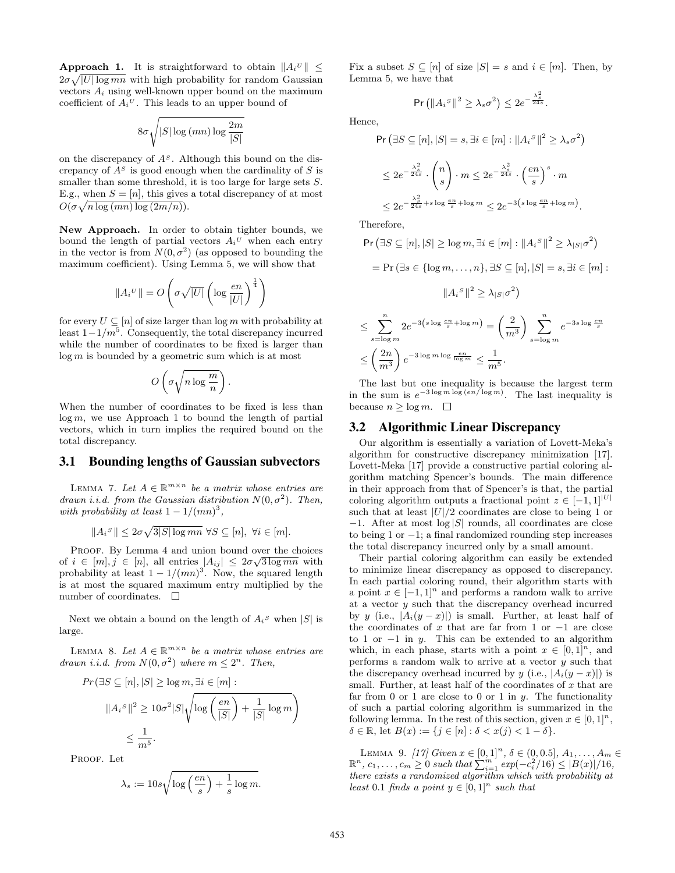**Approach 1.** It is straightforward to obtain  $||A_i^U|| \leq$  $2\sigma\sqrt{|U|\log mn}$  with high probability for random Gaussian vectors  $A_i$  using well-known upper bound on the maximum coefficient of  $A_i^U$ . This leads to an upper bound of

$$
8\sigma\sqrt{|S|\log{(mn)}\log{\frac{2m}{|S|}}}
$$

on the discrepancy of  $A<sup>S</sup>$ . Although this bound on the discrepancy of  $A<sup>S</sup>$  is good enough when the cardinality of S is smaller than some threshold, it is too large for large sets  $S$ . E.g., when  $S = [n]$ , this gives a total discrepancy of at most  $O(\sigma \sqrt{n \log(mn) \log(2m/n)}).$ 

New Approach. In order to obtain tighter bounds, we bound the length of partial vectors  $A_i^U$  when each entry in the vector is from  $N(0, \sigma^2)$  (as opposed to bounding the maximum coefficient). Using Lemma 5, we will show that

$$
||A_i^U|| = O\left(\sigma\sqrt{|U|}\left(\log\frac{en}{|U|}\right)^{\frac{1}{4}}\right)
$$

for every  $U \subseteq [n]$  of size larger than  $\log m$  with probability at least  $1-1/m^5$ . Consequently, the total discrepancy incurred while the number of coordinates to be fixed is larger than  $log m$  is bounded by a geometric sum which is at most

$$
O\left(\sigma\sqrt{n\log\frac{m}{n}}\right).
$$

When the number of coordinates to be fixed is less than  $log m$ , we use Approach 1 to bound the length of partial vectors, which in turn implies the required bound on the total discrepancy.

#### 3.1 Bounding lengths of Gaussian subvectors

LEMMA 7. Let  $A \in \mathbb{R}^{m \times n}$  be a matrix whose entries are drawn i.i.d. from the Gaussian distribution  $N(0, \sigma^2)$ . Then, with probability at least  $1 - 1/(mn)^3$ ,

$$
||A_i^S|| \leq 2\sigma\sqrt{3|S|\log mn} \,\,\forall S \subseteq [n],\,\,\forall i \in [m].
$$

PROOF. By Lemma 4 and union bound over the choices of  $i \in [m], j \in [n]$ , all entries  $|A_{ij}| \leq 2\sigma\sqrt{3\log mn}$  with probability at least  $1 - 1/(mn)^3$ . Now, the squared length is at most the squared maximum entry multiplied by the number of coordinates.  $\square$ 

Next we obtain a bound on the length of  $A_i$ <sup>s</sup> when  $|S|$  is large.

LEMMA 8. Let  $A \in \mathbb{R}^{m \times n}$  be a matrix whose entries are drawn i.i.d. from  $N(0, \sigma^2)$  where  $m \leq 2^n$ . Then,

$$
Pr(\exists S \subseteq [n], |S| \ge \log m, \exists i \in [m]:
$$

$$
||A_i^S||^2 \ge 10\sigma^2|S|\sqrt{\log\left(\frac{en}{|S|}\right) + \frac{1}{|S|}\log m}
$$

$$
\le \frac{1}{m^5}.
$$

PROOF. Let

$$
\lambda_s := 10s \sqrt{\log\left(\frac{en}{s}\right) + \frac{1}{s}\log m}.
$$

Fix a subset  $S \subseteq [n]$  of size  $|S| = s$  and  $i \in [m]$ . Then, by Lemma 5, we have that

$$
\Pr\left(\left\|A_i^{\ S}\right\|^2 \geq \lambda_s \sigma^2\right) \leq 2e^{-\frac{\lambda_s^2}{24s}}.
$$

Hence,

$$
\begin{split} &\Pr\left(\exists S \subseteq [n], |S| = s, \exists i \in [m] : \|A_i{}^S\|^2 \ge \lambda_s \sigma^2\right) \\ &\le 2e^{-\frac{\lambda_s^2}{24s}} \cdot \binom{n}{s} \cdot m \le 2e^{-\frac{\lambda_s^2}{24s}} \cdot \left(\frac{en}{s}\right)^s \cdot m \\ &\le 2e^{-\frac{\lambda_s^2}{24s} + s \log \frac{en}{s} + \log m} \le 2e^{-3\left(s \log \frac{en}{s} + \log m\right)}. \end{split}
$$

Therefore,

 $\leq \left(\frac{2n}{2}\right)$ 

$$
\begin{aligned} \Pr\left(\exists S \subseteq [n], |S| \ge \log m, \exists i \in [m] : \|A_i{}^S\|^2 \ge \lambda_{|S|} \sigma^2\right) \\ &= \Pr\left(\exists s \in \{\log m, \dots, n\}, \exists S \subseteq [n], |S| = s, \exists i \in [m] : \\ & \|A_i{}^S\|^2 \ge \lambda_{|S|} \sigma^2\right) \\ &\le \sum_{s=\log m}^n 2e^{-3\left(s \log \frac{en}{s} + \log m\right)} = \left(\frac{2}{m^3}\right) \sum_{s=\log m}^n e^{-3s \log \frac{en}{s}} \end{aligned}
$$

 $m^3$  $\frac{1}{m^5}$ . The last but one inequality is because the largest term in the sum is  $e^{-3 \log m \log (en/\log m)}$ . The last inequality is because  $n \geq \log m$ .  $\Box$ 

#### 3.2 Algorithmic Linear Discrepancy

 $\Big\} e^{-3 \log m \log \frac{en}{\log m}} \leq \frac{1}{\frac{1}{\log m}}$ 

Our algorithm is essentially a variation of Lovett-Meka's algorithm for constructive discrepancy minimization [17]. Lovett-Meka [17] provide a constructive partial coloring algorithm matching Spencer's bounds. The main difference in their approach from that of Spencer's is that, the partial coloring algorithm outputs a fractional point  $z \in [-1, 1]^{|U|}$ such that at least  $|U|/2$  coordinates are close to being 1 or  $-1$ . After at most  $log |S|$  rounds, all coordinates are close to being 1 or −1; a final randomized rounding step increases the total discrepancy incurred only by a small amount.

Their partial coloring algorithm can easily be extended to minimize linear discrepancy as opposed to discrepancy. In each partial coloring round, their algorithm starts with a point  $x \in [-1,1]^n$  and performs a random walk to arrive at a vector y such that the discrepancy overhead incurred by y (i.e.,  $|A_i(y-x)|$ ) is small. Further, at least half of the coordinates of x that are far from 1 or  $-1$  are close to 1 or  $-1$  in y. This can be extended to an algorithm which, in each phase, starts with a point  $x \in [0,1]^n$ , and performs a random walk to arrive at a vector  $y$  such that the discrepancy overhead incurred by y (i.e.,  $|A_i(y-x)|$ ) is small. Further, at least half of the coordinates of  $x$  that are far from 0 or 1 are close to 0 or 1 in  $y$ . The functionality of such a partial coloring algorithm is summarized in the following lemma. In the rest of this section, given  $x \in [0,1]^n$ ,  $\delta \in \mathbb{R}$ , let  $B(x) := \{j \in [n] : \delta < x(j) < 1 - \delta\}.$ 

LEMMA 9. [17] Given  $x \in [0,1]^n$ ,  $\delta \in (0,0.5]$ ,  $A_1, \ldots, A_m \in$  $\mathbb{R}^n$ ,  $c_1, \ldots, c_m \geq 0$  such that  $\sum_{i=1}^m \exp(-c_i^2/16) \leq |B(x)|/16$ , there exists a randomized algorithm which with probability at least 0.1 finds a point  $y \in [0,1]^n$  such that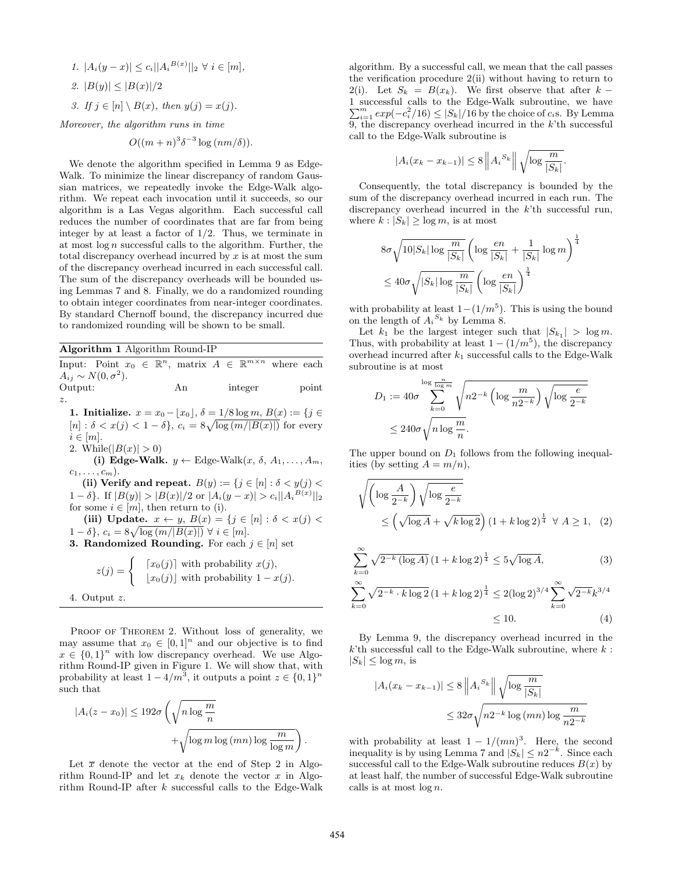1. 
$$
|A_i(y-x)| \leq c_i ||A_i^{B(x)}||_2 \ \forall \ i \in [m],
$$

2. 
$$
|B(y)| \leq |B(x)|/2
$$

3. If  $j \in [n] \setminus B(x)$ , then  $y(j) = x(j)$ .

Moreover, the algorithm runs in time

$$
O((m+n)^{3}\delta^{-3}\log (nm/\delta)).
$$

We denote the algorithm specified in Lemma 9 as Edge-Walk. To minimize the linear discrepancy of random Gaussian matrices, we repeatedly invoke the Edge-Walk algorithm. We repeat each invocation until it succeeds, so our algorithm is a Las Vegas algorithm. Each successful call reduces the number of coordinates that are far from being integer by at least a factor of  $1/2$ . Thus, we terminate in at most  $\log n$  successful calls to the algorithm. Further, the total discrepancy overhead incurred by  $x$  is at most the sum of the discrepancy overhead incurred in each successful call. The sum of the discrepancy overheads will be bounded using Lemmas 7 and 8. Finally, we do a randomized rounding to obtain integer coordinates from near-integer coordinates. By standard Chernoff bound, the discrepancy incurred due to randomized rounding will be shown to be small.

#### Algorithm 1 Algorithm Round-IP

Input: Point  $x_0 \in \mathbb{R}^n$ , matrix  $A \in \mathbb{R}^{m \times n}$  where each  $A_{ij} \sim N(0, \sigma^2).$ Output: An integer point

z.

1. Initialize.  $x = x_0 - |x_0|$ ,  $\delta = 1/8 \log m$ ,  $B(x) := \{j \in$  $[n]: \delta < x(j) < 1-\delta\}, c_i = 8\sqrt{\log(m/|B(x)|)}$  for every  $i \in [m]$ . 2. While( $|B(x)| > 0$ )

(i) Edge-Walk.  $y \leftarrow$  Edge-Walk $(x, \delta, A_1, \ldots, A_m,$  $c_1, \ldots, c_m$ ).

(ii) Verify and repeat.  $B(y) := \{j \in [n] : \delta < y(j) \leq j\}$ 1 – δ}. If  $|B(y)| > |B(x)|/2$  or  $|A_i(y-x)| > c_i ||A_i^{B(x)}||_2$ for some  $i \in [m]$ , then return to (i). (iii) Update.  $x \leftarrow y$ ,  $B(x) = \{j \in [n] : \delta < x(j)$  $1-\delta\}, c_i = 8\sqrt{\log{(m/|B(x)|)}} \ \forall \ i \in [m].$ **3. Randomized Rounding.** For each  $j \in [n]$  set

$$
z(j) = \begin{cases} [x_0(j)] \text{ with probability } x(j), \\ [x_0(j)] \text{ with probability } 1 - x(j). \end{cases}
$$
  
4. Output z.

PROOF OF THEOREM 2. Without loss of generality, we may assume that  $x_0 \in [0,1]^n$  and our objective is to find  $x \in \{0,1\}^n$  with low discrepancy overhead. We use Algorithm Round-IP given in Figure 1. We will show that, with probability at least  $1 - 4/m^3$ , it outputs a point  $z \in \{0, 1\}^n$ such that

$$
|A_i(z - x_0)| \le 192\sigma \left(\sqrt{n \log \frac{m}{n}} + \sqrt{\log m \log (mn) \log \frac{m}{\log m}}\right).
$$

Let  $\bar{x}$  denote the vector at the end of Step 2 in Algorithm Round-IP and let  $x_k$  denote the vector x in Algorithm Round-IP after k successful calls to the Edge-Walk algorithm. By a successful call, we mean that the call passes the verification procedure 2(ii) without having to return to 2(i). Let  $S_k = B(x_k)$ . We first observe that after k – 1 successful calls to the Edge-Walk subroutine, we have  $\sum_{i=1}^{m} exp(-c_i^2/16) \leq |S_k|/16$  by the choice of  $c_i$ s. By Lemma 9, the discrepancy overhead incurred in the  $k$ <sup>th</sup> successful call to the Edge-Walk subroutine is

$$
|A_i(x_k - x_{k-1})| \le 8 \left\| A_i^{S_k} \right\| \sqrt{\log \frac{m}{|S_k|}}
$$

.

Consequently, the total discrepancy is bounded by the sum of the discrepancy overhead incurred in each run. The discrepancy overhead incurred in the k'th successful run, where  $k: |S_k| > \log m$ , is at most

$$
8\sigma \sqrt{10|S_k| \log \frac{m}{|S_k|}} \left( \log \frac{en}{|S_k|} + \frac{1}{|S_k|} \log m \right)^{\frac{1}{4}}
$$
  

$$
\leq 40\sigma \sqrt{|S_k| \log \frac{m}{|S_k|}} \left( \log \frac{en}{|S_k|} \right)^{\frac{1}{4}}
$$

with probability at least  $1-(1/m^5)$ . This is using the bound on the length of  $A_i^{S_k}$  by Lemma 8.

Let  $k_1$  be the largest integer such that  $|S_{k_1}| > \log m$ . Thus, with probability at least  $1 - (1/m^5)$ , the discrepancy overhead incurred after  $k_1$  successful calls to the Edge-Walk subroutine is at most

$$
D_1 := 40\sigma \sum_{k=0}^{\log \frac{n}{\log m}} \sqrt{n2^{-k} \left( \log \frac{m}{n2^{-k}} \right) \sqrt{\log \frac{e}{2^{-k}}}}
$$
  

$$
\leq 240\sigma \sqrt{n \log \frac{m}{n}}.
$$

The upper bound on  $D_1$  follows from the following inequalities (by setting  $A = m/n$ ),

$$
\sqrt{\left(\log \frac{A}{2^{-k}}\right) \sqrt{\log \frac{e}{2^{-k}}}} \le \left(\sqrt{\log A} + \sqrt{k \log 2}\right) \left(1 + k \log 2\right)^{\frac{1}{4}} \quad \forall \ A \ge 1, \tag{2}
$$

$$
\sum_{k=0}^{\infty} \sqrt{2^{-k} (\log A)} \left( 1 + k \log 2 \right)^{\frac{1}{4}} \le 5 \sqrt{\log A},\tag{3}
$$

$$
\sum_{k=0}^{\infty} \sqrt{2^{-k} \cdot k \log 2} \left(1 + k \log 2\right)^{\frac{1}{4}} \le 2(\log 2)^{3/4} \sum_{k=0}^{\infty} \sqrt{2^{-k}} k^{3/4}
$$
  
  $\le 10.$  (4)

By Lemma 9, the discrepancy overhead incurred in the  $k$ <sup>th</sup> successful call to the Edge-Walk subroutine, where  $k$ :  $|S_k| \leq \log m$ , is

$$
|A_i(x_k - x_{k-1})| \le 8 \left\| A_i^{S_k} \right\| \sqrt{\log \frac{m}{|S_k|}}
$$
  

$$
\le 32\sigma \sqrt{n2^{-k} \log (mn) \log \frac{m}{n2^{-k}}}
$$

with probability at least  $1 - 1/(mn)^3$ . Here, the second inequality is by using Lemma 7 and  $|S_k| \leq n2^{-k}$ . Since each successful call to the Edge-Walk subroutine reduces  $B(x)$  by at least half, the number of successful Edge-Walk subroutine calls is at most  $\log n$ .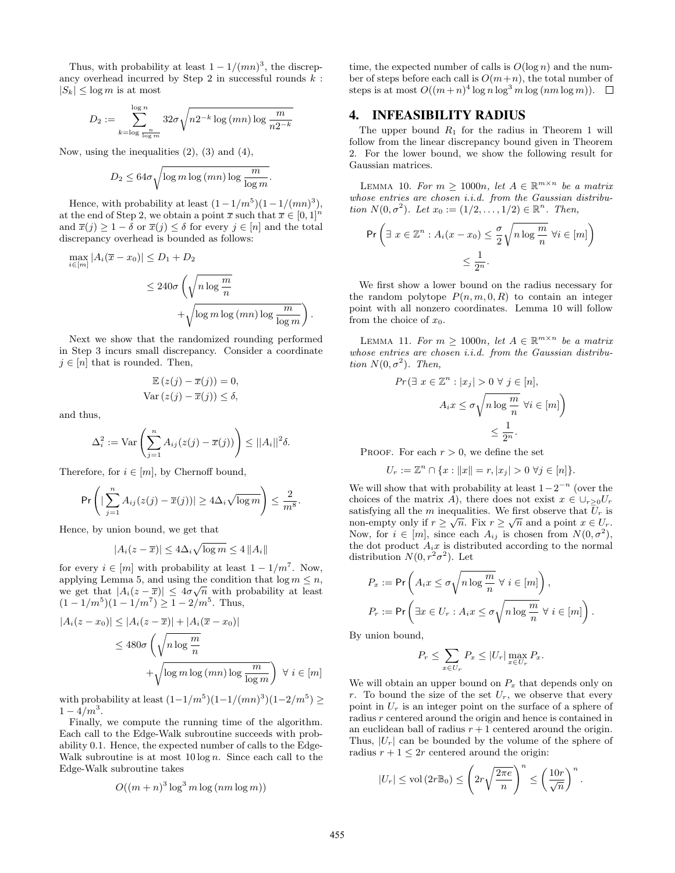Thus, with probability at least  $1 - 1/(mn)^3$ , the discrepancy overhead incurred by Step 2 in successful rounds  $k$ :  $|S_k| \leq \log m$  is at most

$$
D_2 := \sum_{k=\log\frac{n}{\log m}}^{\log n} 32\sigma \sqrt{n2^{-k}\log{(mn)}\log\frac{m}{n2^{-k}}}
$$

Now, using the inequalities  $(2)$ ,  $(3)$  and  $(4)$ ,

$$
D_2 \le 64\sigma \sqrt{\log m \log (mn) \log \frac{m}{\log m}}.
$$

Hence, with probability at least  $(1 - 1/m^5)(1 - 1/(mn)^3)$ , at the end of Step 2, we obtain a point  $\bar{x}$  such that  $\bar{x} \in [0, 1]^n$ and  $\overline{x}(i) > 1 - \delta$  or  $\overline{x}(i) \leq \delta$  for every  $i \in [n]$  and the total discrepancy overhead is bounded as follows:

$$
\max_{i \in [m]} |A_i(\overline{x} - x_0)| \le D_1 + D_2
$$
  

$$
\le 240\sigma \left(\sqrt{n \log \frac{m}{n}} + \sqrt{\log m \log (mn) \log \frac{m}{\log m}}\right)
$$

.

Next we show that the randomized rounding performed in Step 3 incurs small discrepancy. Consider a coordinate  $j \in [n]$  that is rounded. Then,

$$
\mathbb{E}\left(z(j) - \overline{x}(j)\right) = 0,
$$
  
Var $(z(j) - \overline{x}(j)) \le \delta$ ,

and thus,

$$
\Delta_i^2 := \text{Var}\left(\sum_{j=1}^n A_{ij}(z(j) - \overline{x}(j))\right) \le ||A_i||^2 \delta.
$$

Therefore, for  $i \in [m]$ , by Chernoff bound,

$$
\Pr\left(|\sum_{j=1}^n A_{ij}(z(j)-\overline{x}(j))| \ge 4\Delta_i\sqrt{\log m}\right) \le \frac{2}{m^8}.
$$

Hence, by union bound, we get that

$$
|A_i(z - \overline{x})| \le 4\Delta_i \sqrt{\log m} \le 4 ||A_i||
$$

for every  $i \in [m]$  with probability at least  $1 - 1/m^7$ . Now, applying Lemma 5, and using the condition that  $\log m \leq n$ , we get that  $|A_i(z-\overline{x})| \leq 4\sigma\sqrt{n}$  with probability at least  $(1 - 1/m^5)(1 - 1/m^7) \ge 1 - 2/m^5$ . Thus,

$$
|A_i(z - x_0)| \le |A_i(z - \overline{x})| + |A_i(\overline{x} - x_0)|
$$
  
\n
$$
\le 480\sigma \left(\sqrt{n \log \frac{m}{n}} + \sqrt{\log m \log (mn) \log \frac{m}{\log m}}\right) \forall i \in [m]
$$

with probability at least  $(1-1/m^5)(1-1/(mn)^3)(1-2/m^5) \ge$  $1 - 4/m^3$ .

Finally, we compute the running time of the algorithm. Each call to the Edge-Walk subroutine succeeds with probability 0.1. Hence, the expected number of calls to the Edge-Walk subroutine is at most  $10 \log n$ . Since each call to the Edge-Walk subroutine takes

$$
O((m+n)^3 \log^3 m \log (nm \log m))
$$

time, the expected number of calls is  $O(\log n)$  and the number of steps before each call is  $O(m+n)$ , the total number of steps is at most  $O((m+n)^4 \log n \log^3 m \log (nm \log m)).$ 

### 4. INFEASIBILITY RADIUS

The upper bound  $R_1$  for the radius in Theorem 1 will follow from the linear discrepancy bound given in Theorem 2. For the lower bound, we show the following result for Gaussian matrices.

LEMMA 10. For  $m \geq 1000n$ , let  $A \in \mathbb{R}^{m \times n}$  be a matrix whose entries are chosen i.i.d. from the Gaussian distribution  $N(0, \sigma^2)$ . Let  $x_0 := (1/2, ..., 1/2) \in \mathbb{R}^n$ . Then,

$$
\Pr\left(\exists x \in \mathbb{Z}^n : A_i(x - x_0) \le \frac{\sigma}{2} \sqrt{n \log \frac{m}{n}} \,\forall i \in [m]\right) \le \frac{1}{2^n}.
$$

We first show a lower bound on the radius necessary for the random polytope  $P(n, m, 0, R)$  to contain an integer point with all nonzero coordinates. Lemma 10 will follow from the choice of  $x_0$ .

LEMMA 11. For  $m \geq 1000n$ , let  $A \in \mathbb{R}^{m \times n}$  be a matrix whose entries are chosen i.i.d. from the Gaussian distribution  $N(0, \sigma^2)$ . Then,

$$
Pr\left(\exists x \in \mathbb{Z}^n : |x_j| > 0 \,\forall j \in [n],\n\right.\n\left.\nA_i x \leq \sigma \sqrt{n \log \frac{m}{n}} \,\forall i \in [m]\n\right)\n\leq \frac{1}{2^n}.
$$

PROOF. For each  $r > 0$ , we define the set

$$
U_r := \mathbb{Z}^n \cap \{x : ||x|| = r, |x_j| > 0 \,\forall j \in [n]\}.
$$

We will show that with probability at least  $1-2^{-n}$  (over the choices of the matrix A), there does not exist  $x \in \bigcup_{r>0} U_r$ satisfying all the m inequalities. We first observe that  $U_r$  is non-empty only if  $r \geq \sqrt{n}$ . Fix  $r \geq \sqrt{n}$  and a point  $x \in U_r$ . Now, for  $i \in [m]$ , since each  $A_{ij}$  is chosen from  $N(0, \sigma^2)$ , the dot product  $A_i x$  is distributed according to the normal distribution  $N(0, r^2\sigma^2)$ . Let

$$
P_x := \Pr\left(A_i x \le \sigma \sqrt{n \log \frac{m}{n}} \,\forall \, i \in [m]\right),
$$
  

$$
P_r := \Pr\left(\exists x \in U_r : A_i x \le \sigma \sqrt{n \log \frac{m}{n}} \,\forall \, i \in [m]\right).
$$

By union bound,

$$
P_r \le \sum_{x \in U_r} P_x \le |U_r| \max_{x \in U_r} P_x.
$$

We will obtain an upper bound on  $P_x$  that depends only on r. To bound the size of the set  $U_r$ , we observe that every point in  $U_r$  is an integer point on the surface of a sphere of radius r centered around the origin and hence is contained in an euclidean ball of radius  $r + 1$  centered around the origin. Thus,  $|U_r|$  can be bounded by the volume of the sphere of radius  $r + 1 \leq 2r$  centered around the origin:

$$
|U_r| \leq \text{vol}\left(2r\mathbb{B}_0\right) \leq \left(2r\sqrt{\frac{2\pi e}{n}}\right)^n \leq \left(\frac{10r}{\sqrt{n}}\right)^n.
$$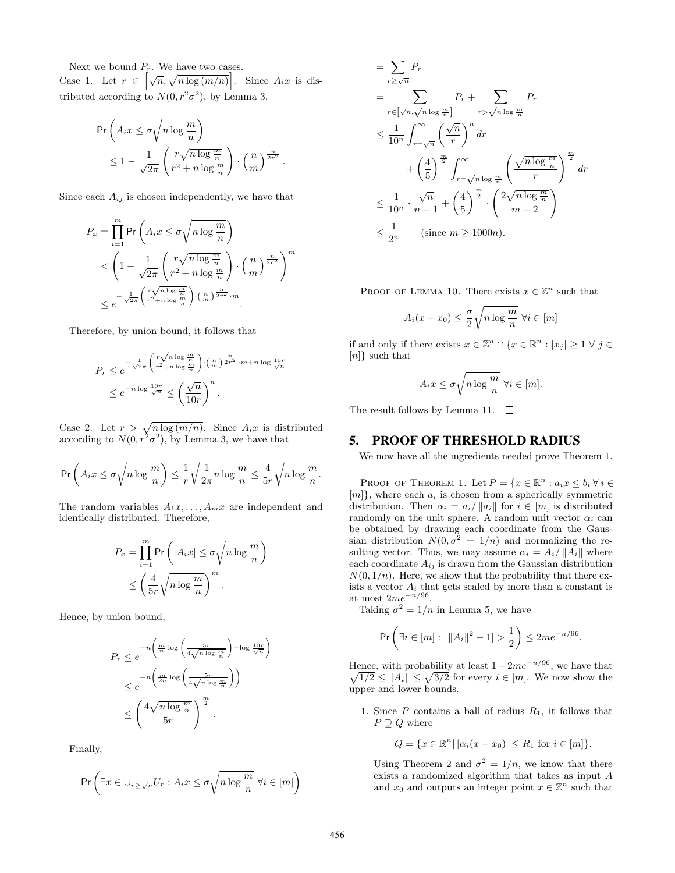Next we bound  $P_r$ . We have two cases.

Case 1. Let  $r \in \left[\sqrt{n}, \sqrt{n \log(m/n)}\right]$ . Since  $A_i x$  is distributed according to  $N(0, r^2\sigma^2)$ , by Lemma 3,

$$
\begin{split} &\Pr\left(A_i x \leq \sigma \sqrt{n \log \frac{m}{n}}\right) \\ &\leq 1 - \frac{1}{\sqrt{2\pi}} \left(\frac{r \sqrt{n \log \frac{m}{n}}}{r^2 + n \log \frac{m}{n}}\right) \cdot \left(\frac{n}{m}\right)^{\frac{n}{2r^2}}. \end{split}
$$

Since each  $A_{ij}$  is chosen independently, we have that

$$
P_x = \prod_{i=1}^m \Pr\left(A_i x \le \sigma \sqrt{n \log \frac{m}{n}}\right)
$$
  

$$
< \left(1 - \frac{1}{\sqrt{2\pi}} \left(\frac{r\sqrt{n \log \frac{m}{n}}}{r^2 + n \log \frac{m}{n}}\right) \cdot \left(\frac{n}{m}\right)^{\frac{n}{2r^2}}\right)^m
$$
  

$$
\le e^{-\frac{1}{\sqrt{2\pi}} \left(\frac{r\sqrt{n \log \frac{m}{n}}}{r^2 + n \log \frac{m}{n}}\right) \cdot \left(\frac{n}{m}\right)^{\frac{n}{2r^2}} \cdot m}.
$$

Therefore, by union bound, it follows that

$$
P_r \leq e^{-\frac{1}{\sqrt{2\pi}} \left(\frac{r\sqrt{n\log\frac{m}{n}}}{r^2 + n\log\frac{m}{n}}\right) \cdot \left(\frac{n}{m}\right)^{\frac{n}{2r^2}} \cdot m + n\log\frac{10r}{\sqrt{n}}}
$$

$$
\leq e^{-n\log\frac{10r}{\sqrt{n}}} \leq \left(\frac{\sqrt{n}}{10r}\right)^n.
$$

Case 2. Let  $r > \sqrt{n \log(m/n)}$ . Since  $A_i x$  is distributed according to  $N(0, r^2\sigma^2)$ , by Lemma 3, we have that

$$
\Pr\left(A_ix \leq \sigma\sqrt{n\log{\frac{m}{n}}}\right) \leq \frac{1}{r}\sqrt{\frac{1}{2\pi}n\log{\frac{m}{n}}} \leq \frac{4}{5r}\sqrt{n\log{\frac{m}{n}}}.
$$

The random variables  $A_1x, \ldots, A_mx$  are independent and identically distributed. Therefore,

$$
P_x = \prod_{i=1}^m \Pr\left(|A_i x| \le \sigma \sqrt{n \log \frac{m}{n}}\right)
$$
  

$$
\le \left(\frac{4}{5r} \sqrt{n \log \frac{m}{n}}\right)^m.
$$

Hence, by union bound,

$$
P_r \leq e^{-n\left(\frac{m}{n}\log\left(\frac{5r}{4\sqrt{n\log\frac{m}{n}}}\right) - \log\frac{10r}{\sqrt{n}}\right)}
$$

$$
\leq e^{-n\left(\frac{m}{2n}\log\left(\frac{5r}{4\sqrt{n\log\frac{m}{n}}}\right)\right)}
$$

$$
\leq \left(\frac{4\sqrt{n\log\frac{m}{n}}}{5r}\right)^{\frac{m}{2}}.
$$

Finally,

$$
\Pr\left(\exists x\in\cup_{r\geq \sqrt{n}} U_r: A_i x \leq \sigma\sqrt{n\log{\frac{m}{n}}}\ \forall i\in[m]\right)
$$

$$
= \sum_{r \ge \sqrt{n}} P_r
$$
  
\n
$$
= \sum_{r \in \left[\sqrt{n}, \sqrt{n \log \frac{m}{n}}\right]} P_r + \sum_{r > \sqrt{n \log \frac{m}{n}}} P_r
$$
  
\n
$$
\le \frac{1}{10^n} \int_{r = \sqrt{n}}^{\infty} \left(\frac{\sqrt{n}}{r}\right)^n dr + \left(\frac{4}{5}\right)^{\frac{m}{2}} \int_{r = \sqrt{n \log \frac{m}{n}}}^{\infty} \left(\frac{\sqrt{n \log \frac{m}{n}}}{r}\right)^{\frac{m}{2}} dr
$$
  
\n
$$
\le \frac{1}{10^n} \cdot \frac{\sqrt{n}}{n-1} + \left(\frac{4}{5}\right)^{\frac{m}{2}} \cdot \left(\frac{2\sqrt{n \log \frac{m}{n}}}{m-2}\right)
$$
  
\n
$$
\le \frac{1}{2^n} \qquad \text{(since } m \ge 1000n\text{)}.
$$

 $\Box$ 

PROOF OF LEMMA 10. There exists  $x \in \mathbb{Z}^n$  such that

$$
A_i(x - x_0) \le \frac{\sigma}{2} \sqrt{n \log \frac{m}{n}} \ \forall i \in [m]
$$

if and only if there exists  $x \in \mathbb{Z}^n \cap \{x \in \mathbb{R}^n : |x_j| \geq 1 \forall j \in \mathbb{Z}^n\}$ [n]} such that

$$
A_i x \le \sigma \sqrt{n \log \frac{m}{n}} \ \forall i \in [m].
$$

The result follows by Lemma 11.  $\square$ 

#### 5. PROOF OF THRESHOLD RADIUS

We now have all the ingredients needed prove Theorem 1.

PROOF OF THEOREM 1. Let  $P = \{x \in \mathbb{R}^n : a_i x \leq b_i \; \forall \; i \in \mathbb{R}^n\}$  $[m]$ , where each  $a_i$  is chosen from a spherically symmetric distribution. Then  $\alpha_i = a_i / ||a_i||$  for  $i \in [m]$  is distributed randomly on the unit sphere. A random unit vector  $\alpha_i$  can be obtained by drawing each coordinate from the Gaussian distribution  $N(0, \sigma^2 = 1/n)$  and normalizing the resulting vector. Thus, we may assume  $\alpha_i = A_i / ||A_i||$  where each coordinate  $A_{ij}$  is drawn from the Gaussian distribution  $N(0, 1/n)$ . Here, we show that the probability that there exists a vector  $A_i$  that gets scaled by more than a constant is at most  $2me^{-n/96}$ .

Taking  $\sigma^2 = 1/n$  in Lemma 5, we have

$$
\Pr\left(\exists i \in [m] : \left| \|A_i\|^2 - 1 \right| > \frac{1}{2} \right) \leq 2me^{-n/96}.
$$

Hence, with probability at least  $1 - 2me^{-n/96}$ , we have that  $\sqrt{1/2} \le ||A_i|| \le \sqrt{3/2}$  for every  $i \in [m]$ . We now show the upper and lower bounds.

1. Since  $P$  contains a ball of radius  $R_1$ , it follows that  $P \supseteq Q$  where

$$
Q = \{ x \in \mathbb{R}^n \mid |\alpha_i(x - x_0)| \le R_1 \text{ for } i \in [m] \}.
$$

Using Theorem 2 and  $\sigma^2 = 1/n$ , we know that there exists a randomized algorithm that takes as input A and  $x_0$  and outputs an integer point  $x \in \mathbb{Z}^n$  such that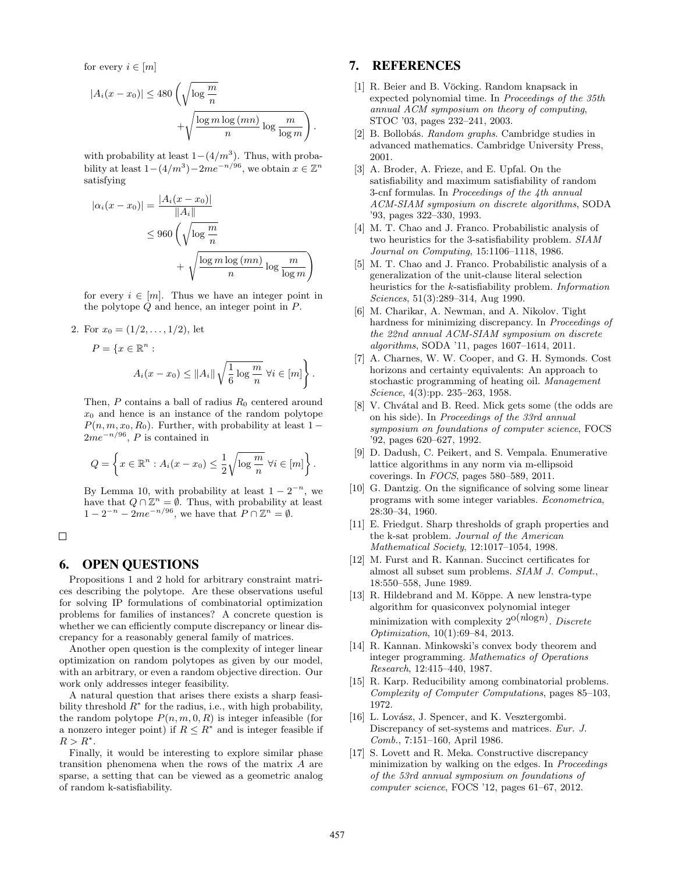for every  $i \in [m]$ 

$$
|A_i(x - x_0)| \le 480 \left(\sqrt{\log \frac{m}{n}} + \sqrt{\frac{\log m \log (mn)}{n} \log \frac{m}{\log m}}\right).
$$

with probability at least  $1-(4/m^3)$ . Thus, with probability at least  $1-(4/m^3)-2me^{-n/96}$ , we obtain  $x \in \mathbb{Z}^n$ satisfying

$$
|\alpha_i(x - x_0)| = \frac{|A_i(x - x_0)|}{\|A_i\|}
$$
  
\n
$$
\leq 960 \left(\sqrt{\log \frac{m}{n}} + \sqrt{\frac{\log m \log (mn)}{n} \log \frac{m}{\log m}}\right)
$$

for every  $i \in [m]$ . Thus we have an integer point in the polytope Q and hence, an integer point in P.

2. For  $x_0 = (1/2, \ldots, 1/2)$ , let

$$
P = \{x \in \mathbb{R}^n :
$$
  

$$
A_i(x - x_0) \le ||A_i|| \sqrt{\frac{1}{6} \log \frac{m}{n}} \ \forall i \in [m] \}.
$$

Then,  $P$  contains a ball of radius  $R_0$  centered around  $x_0$  and hence is an instance of the random polytope  $P(n, m, x_0, R_0)$ . Further, with probability at least 1 −  $2me^{-n/96}$ , P is contained in

$$
Q = \left\{ x \in \mathbb{R}^n : A_i(x - x_0) \le \frac{1}{2} \sqrt{\log \frac{m}{n}} \ \forall i \in [m] \right\}.
$$

By Lemma 10, with probability at least  $1 - 2^{-n}$ , we have that  $Q \cap \mathbb{Z}^n = \emptyset$ . Thus, with probability at least  $1 - 2^{-n} - 2me^{-n/96}$ , we have that  $P \cap \mathbb{Z}^n = \emptyset$ .

 $\Box$ 

#### 6. OPEN QUESTIONS

Propositions 1 and 2 hold for arbitrary constraint matrices describing the polytope. Are these observations useful for solving IP formulations of combinatorial optimization problems for families of instances? A concrete question is whether we can efficiently compute discrepancy or linear discrepancy for a reasonably general family of matrices.

Another open question is the complexity of integer linear optimization on random polytopes as given by our model, with an arbitrary, or even a random objective direction. Our work only addresses integer feasibility.

A natural question that arises there exists a sharp feasibility threshold  $R^*$  for the radius, i.e., with high probability, the random polytope  $P(n, m, 0, R)$  is integer infeasible (for a nonzero integer point) if  $R \leq R^*$  and is integer feasible if  $R > R^*$ .

Finally, it would be interesting to explore similar phase transition phenomena when the rows of the matrix A are sparse, a setting that can be viewed as a geometric analog of random k-satisfiability.

# 7. REFERENCES

- [1] R. Beier and B. Vöcking. Random knapsack in expected polynomial time. In Proceedings of the 35th annual ACM symposium on theory of computing, STOC '03, pages 232–241, 2003.
- [2] B. Bollobás. Random graphs. Cambridge studies in advanced mathematics. Cambridge University Press, 2001.
- [3] A. Broder, A. Frieze, and E. Upfal. On the satisfiability and maximum satisfiability of random 3-cnf formulas. In Proceedings of the 4th annual ACM-SIAM symposium on discrete algorithms, SODA '93, pages 322–330, 1993.
- [4] M. T. Chao and J. Franco. Probabilistic analysis of two heuristics for the 3-satisfiability problem. SIAM Journal on Computing, 15:1106–1118, 1986.
- [5] M. T. Chao and J. Franco. Probabilistic analysis of a generalization of the unit-clause literal selection heuristics for the k-satisfiability problem. Information Sciences, 51(3):289–314, Aug 1990.
- [6] M. Charikar, A. Newman, and A. Nikolov. Tight hardness for minimizing discrepancy. In Proceedings of the 22nd annual ACM-SIAM symposium on discrete algorithms, SODA '11, pages 1607–1614, 2011.
- [7] A. Charnes, W. W. Cooper, and G. H. Symonds. Cost horizons and certainty equivalents: An approach to stochastic programming of heating oil. Management Science, 4(3):pp. 235–263, 1958.
- [8] V. Chvátal and B. Reed. Mick gets some (the odds are on his side). In Proceedings of the 33rd annual symposium on foundations of computer science, FOCS '92, pages 620–627, 1992.
- [9] D. Dadush, C. Peikert, and S. Vempala. Enumerative lattice algorithms in any norm via m-ellipsoid coverings. In FOCS, pages 580–589, 2011.
- [10] G. Dantzig. On the significance of solving some linear programs with some integer variables. Econometrica, 28:30–34, 1960.
- [11] E. Friedgut. Sharp thresholds of graph properties and the k-sat problem. Journal of the American Mathematical Society, 12:1017–1054, 1998.
- [12] M. Furst and R. Kannan. Succinct certificates for almost all subset sum problems. SIAM J. Comput., 18:550–558, June 1989.
- [13] R. Hildebrand and M. Köppe. A new lenstra-type algorithm for quasiconvex polynomial integer minimization with complexity  $2^{O(n \log n)}$ . Discrete Optimization, 10(1):69–84, 2013.
- [14] R. Kannan. Minkowski's convex body theorem and integer programming. Mathematics of Operations Research, 12:415–440, 1987.
- [15] R. Karp. Reducibility among combinatorial problems. Complexity of Computer Computations, pages 85–103, 1972.
- [16] L. Lovász, J. Spencer, and K. Vesztergombi. Discrepancy of set-systems and matrices. Eur. J. Comb., 7:151–160, April 1986.
- [17] S. Lovett and R. Meka. Constructive discrepancy minimization by walking on the edges. In Proceedings of the 53rd annual symposium on foundations of computer science, FOCS '12, pages 61–67, 2012.